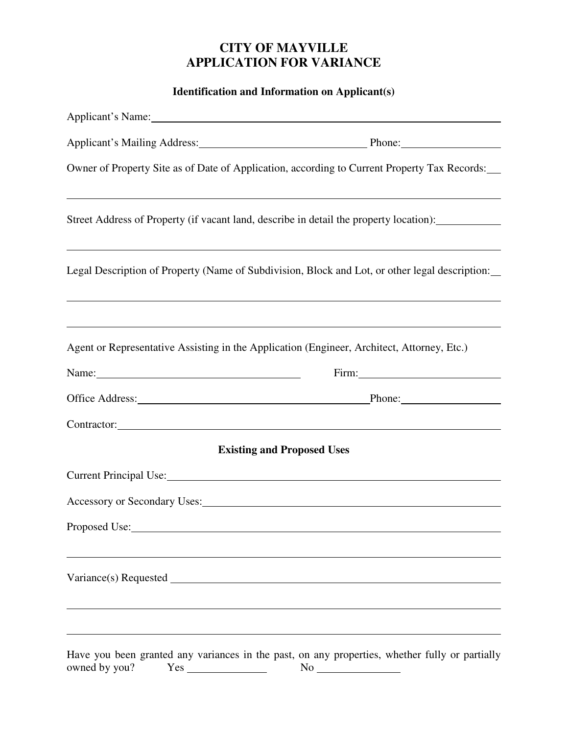# **CITY OF MAYVILLE APPLICATION FOR VARIANCE**

**Identification and Information on Applicant(s)** 

|                                                                                                                                                                                                                                | Applicant's Name: No. 2014. The Second Second Second Second Second Second Second Second Second Second Second Second Second Second Second Second Second Second Second Second Second Second Second Second Second Second Second S |
|--------------------------------------------------------------------------------------------------------------------------------------------------------------------------------------------------------------------------------|--------------------------------------------------------------------------------------------------------------------------------------------------------------------------------------------------------------------------------|
|                                                                                                                                                                                                                                | Applicant's Mailing Address: Phone: Phone: Phone:                                                                                                                                                                              |
|                                                                                                                                                                                                                                | Owner of Property Site as of Date of Application, according to Current Property Tax Records:                                                                                                                                   |
|                                                                                                                                                                                                                                | ,我们也不会有什么。""我们的人,我们也不会有什么?""我们的人,我们也不会有什么?""我们的人,我们也不会有什么?""我们的人,我们也不会有什么?""我们的人<br>Street Address of Property (if vacant land, describe in detail the property location):                                                     |
|                                                                                                                                                                                                                                | Legal Description of Property (Name of Subdivision, Block and Lot, or other legal description:                                                                                                                                 |
|                                                                                                                                                                                                                                |                                                                                                                                                                                                                                |
|                                                                                                                                                                                                                                | Agent or Representative Assisting in the Application (Engineer, Architect, Attorney, Etc.)                                                                                                                                     |
| Name: $\frac{1}{2}$ Name:                                                                                                                                                                                                      | Firm: $\qquad \qquad$                                                                                                                                                                                                          |
|                                                                                                                                                                                                                                | Office Address: Phone: Phone:                                                                                                                                                                                                  |
|                                                                                                                                                                                                                                | Contractor: Contractor:                                                                                                                                                                                                        |
|                                                                                                                                                                                                                                | <b>Existing and Proposed Uses</b>                                                                                                                                                                                              |
|                                                                                                                                                                                                                                | Current Principal Use: 1998. Current Principal Use:                                                                                                                                                                            |
| Accessory or Secondary Uses: Note that the contract of the contract of the contract of the contract of the contract of the contract of the contract of the contract of the contract of the contract of the contract of the con |                                                                                                                                                                                                                                |
| Proposed Use:                                                                                                                                                                                                                  |                                                                                                                                                                                                                                |
|                                                                                                                                                                                                                                |                                                                                                                                                                                                                                |
| owned by you?                                                                                                                                                                                                                  | Have you been granted any variances in the past, on any properties, whether fully or partially                                                                                                                                 |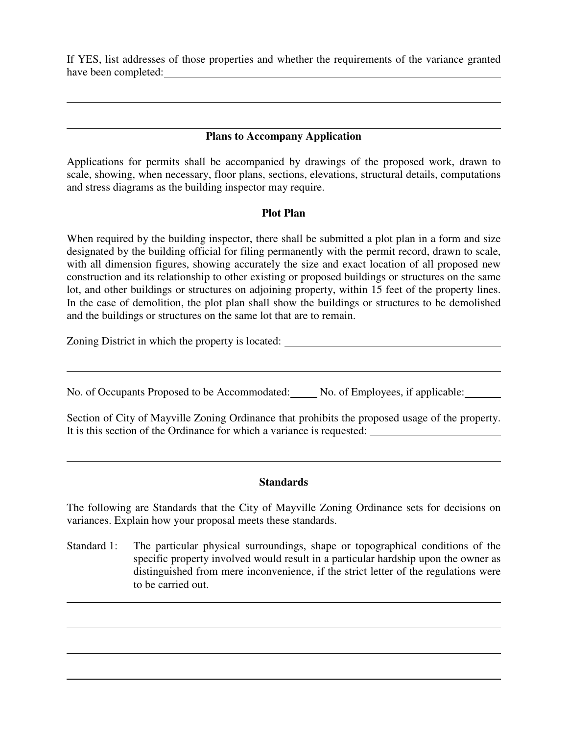If YES, list addresses of those properties and whether the requirements of the variance granted have been completed:

## **Plans to Accompany Application**

Applications for permits shall be accompanied by drawings of the proposed work, drawn to scale, showing, when necessary, floor plans, sections, elevations, structural details, computations and stress diagrams as the building inspector may require.

#### **Plot Plan**

When required by the building inspector, there shall be submitted a plot plan in a form and size designated by the building official for filing permanently with the permit record, drawn to scale, with all dimension figures, showing accurately the size and exact location of all proposed new construction and its relationship to other existing or proposed buildings or structures on the same lot, and other buildings or structures on adjoining property, within 15 feet of the property lines. In the case of demolition, the plot plan shall show the buildings or structures to be demolished and the buildings or structures on the same lot that are to remain.

Zoning District in which the property is located:

 $\overline{a}$ 

 $\overline{a}$ 

 $\overline{a}$ 

 $\overline{a}$ 

 $\overline{a}$ 

No. of Occupants Proposed to be Accommodated: No. of Employees, if applicable:

Section of City of Mayville Zoning Ordinance that prohibits the proposed usage of the property. It is this section of the Ordinance for which a variance is requested:

### **Standards**

The following are Standards that the City of Mayville Zoning Ordinance sets for decisions on variances. Explain how your proposal meets these standards.

Standard 1: The particular physical surroundings, shape or topographical conditions of the specific property involved would result in a particular hardship upon the owner as distinguished from mere inconvenience, if the strict letter of the regulations were to be carried out.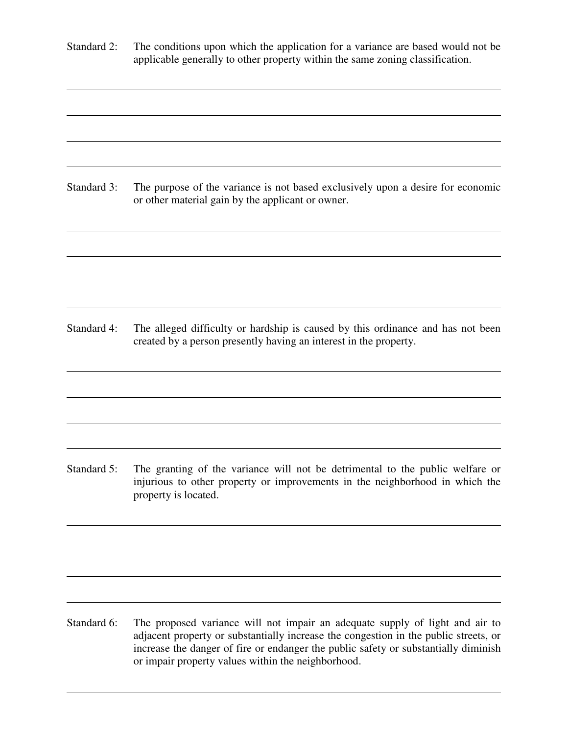Standard 2: The conditions upon which the application for a variance are based would not be applicable generally to other property within the same zoning classification.

 $\overline{a}$ 

 $\overline{a}$ 

 $\overline{a}$ 

 $\overline{a}$ 

 $\overline{a}$ 

 $\overline{a}$ 

 $\overline{a}$ 

 $\overline{a}$ 

Standard 3: The purpose of the variance is not based exclusively upon a desire for economic or other material gain by the applicant or owner.

Standard 4: The alleged difficulty or hardship is caused by this ordinance and has not been created by a person presently having an interest in the property.

Standard 5: The granting of the variance will not be detrimental to the public welfare or injurious to other property or improvements in the neighborhood in which the property is located.

Standard 6: The proposed variance will not impair an adequate supply of light and air to adjacent property or substantially increase the congestion in the public streets, or increase the danger of fire or endanger the public safety or substantially diminish or impair property values within the neighborhood.